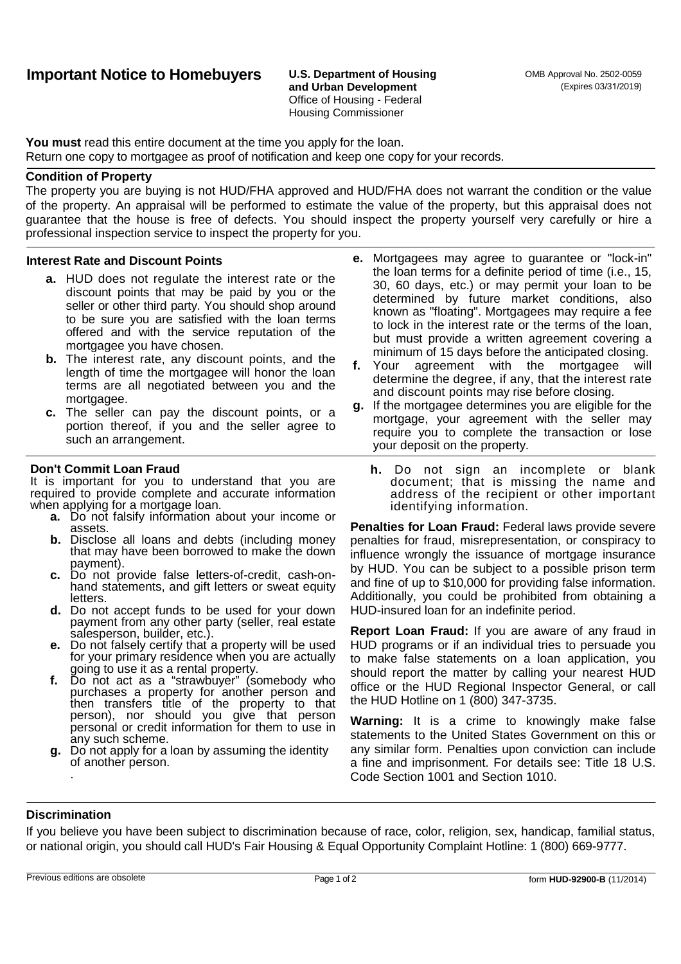**and Urban Development** Office of Housing - Federal Housing Commissioner

**You must** read this entire document at the time you apply for the loan. Return one copy to mortgagee as proof of notification and keep one copy for your records.

### **Condition of Property**

The property you are buying is not HUD/FHA approved and HUD/FHA does not warrant the condition or the value of the property. An appraisal will be performed to estimate the value of the property, but this appraisal does not guarantee that the house is free of defects. You should inspect the property yourself very carefully or hire a professional inspection service to inspect the property for you.

#### **Interest Rate and Discount Points**

- **a.** HUD does not regulate the interest rate or the discount points that may be paid by you or the seller or other third party. You should shop around to be sure you are satisfied with the loan terms offered and with the service reputation of the mortgagee you have chosen.
- **b.** The interest rate, any discount points, and the **f.** Your length of time the mortgagee will honor the loan terms are all negotiated between you and the mortgagee.
- **c.** The seller can pay the discount points, or a portion thereof, if you and the seller agree to such an arrangement.

#### **Don't Commit Loan Fraud**

It is important for you to understand that you are required to provide complete and accurate information when applying for a mortgage loan.

- **a.** Do not falsify information about your income or assets.
- **b.** Disclose all loans and debts (including money that may have been borrowed to make the down payment).
- c. Do not provide false letters-of-credit, cash-onhand statements, and gift letters or sweat equity letters.
- **d.** Do not accept funds to be used for your down payment from any other party (seller, real estate salesperson, builder, etc.).
- **e.** Do not falsely certify that a property will be used for your primary residence when you are actually going to use it as a rental property.
- **f.** Do not act as a "strawbuyer" (somebody who purchases a property for another person and then transfers title of the property to that person), nor should you give that person personal or credit information for them to use in any such scheme.
- **g.** Do not apply for a loan by assuming the identity of another person. .
- **e.** Mortgagees may agree to guarantee or "lock-in" the loan terms for a definite period of time (i.e., 15, 30, 60 days, etc.) or may permit your loan to be determined by future market conditions, also known as "floating". Mortgagees may require a fee to lock in the interest rate or the terms of the loan, but must provide a written agreement covering a minimum of 15 days before the anticipated closing.
- agreement with the mortgagee will determine the degree, if any, that the interest rate and discount points may rise before closing.
- **g.** If the mortgagee determines you are eligible for the mortgage, your agreement with the seller may require you to complete the transaction or lose your deposit on the property.
	- **h.** Do not sign an incomplete or blank document; that is missing the name and address of the recipient or other important identifying information.

**Penalties for Loan Fraud:** Federal laws provide severe penalties for fraud, misrepresentation, or conspiracy to influence wrongly the issuance of mortgage insurance by HUD. You can be subject to a possible prison term and fine of up to \$10,000 for providing false information. Additionally, you could be prohibited from obtaining a HUD-insured loan for an indefinite period.

**Report Loan Fraud:** If you are aware of any fraud in HUD programs or if an individual tries to persuade you to make false statements on a loan application, you should report the matter by calling your nearest HUD office or the HUD Regional Inspector General, or call the HUD Hotline on 1 (800) 347-3735.

**Warning:** It is a crime to knowingly make false statements to the United States Government on this or any similar form. Penalties upon conviction can include a fine and imprisonment. For details see: Title 18 U.S. Code Section 1001 and Section 1010.

## **Discrimination**

If you believe you have been subject to discrimination because of race, color, religion, sex, handicap, familial status, or national origin, you should call HUD's Fair Housing & Equal Opportunity Complaint Hotline: 1 (800) 669-9777.